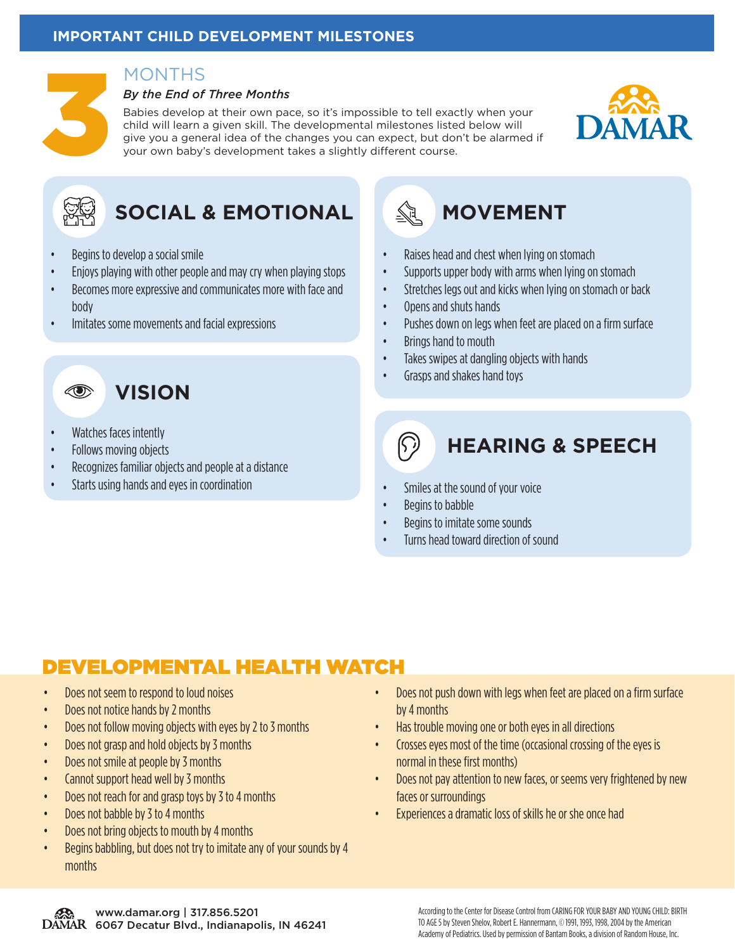#### **IMPORTANT CHILD DEVELOPMENT MILESTONES**



#### *By the End of Three Months*

Babies develop at their own pace, so it's impossible to tell exactly when your child will learn a given skill. The developmental milestones listed below will give you a general idea of the changes you can expect, but don't be alarmed if your own baby's development takes a slightly different course.





# **SOCIAL & EMOTIONAL**

- Begins to develop a social smile
- Enjoys playing with other people and may cry when playing stops
- Becomes more expressive and communicates more with face and body
- Imitates some movements and facial expressions



- Watches faces intently
- Follows moving objects
- Recognizes familiar objects and people at a distance
- Starts using hands and eyes in coordination



- Raises head and chest when lying on stomach
- Supports upper body with arms when lying on stomach
- Stretches legs out and kicks when lying on stomach or back
- Opens and shuts hands
- Pushes down on legs when feet are placed on a firm surface
- Brings hand to mouth
- Takes swipes at dangling objects with hands
- Grasps and shakes hand toys



## **HEARING & SPEECH**

- Smiles at the sound of your voice
- Begins to babble
- Begins to imitate some sounds
- Turns head toward direction of sound

## DEVELOPMENTAL HEALTH WATCH

- Does not seem to respond to loud noises
- Does not notice hands by 2 months
- Does not follow moving objects with eyes by 2 to 3 months
- Does not grasp and hold objects by 3 months
- Does not smile at people by 3 months
- Cannot support head well by 3 months
- Does not reach for and grasp toys by 3 to 4 months
- Does not babble by 3 to 4 months
- Does not bring objects to mouth by 4 months
- Begins babbling, but does not try to imitate any of your sounds by 4 months
- Does not push down with legs when feet are placed on a firm surface by 4 months
- Has trouble moving one or both eyes in all directions
- Crosses eyes most of the time (occasional crossing of the eyes is normal in these first months)
- Does not pay attention to new faces, or seems very frightened by new faces or surroundings
- Experiences a dramatic loss of skills he or she once had

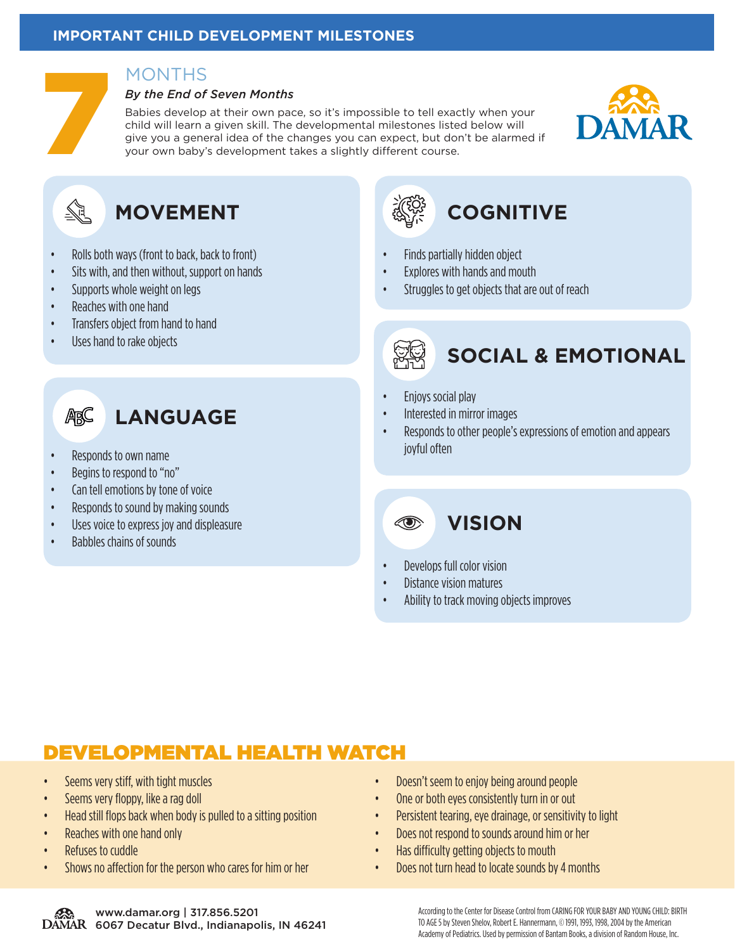

#### *By the End of Seven Months*

Babies develop at their own pace, so it's impossible to tell exactly when your child will learn a given skill. The developmental milestones listed below will give you a general idea of the changes you can expect, but don't be alarmed if your own baby's development takes a slightly different course.



# $\mathbb{N}$

## **MOVEMENT COGNITIVE**

- Rolls both ways (front to back, back to front)
- Sits with, and then without, support on hands
- Supports whole weight on legs
- Reaches with one hand
- Transfers object from hand to hand
- Uses hand to rake objects



- Responds to own name
- Begins to respond to "no"
- Can tell emotions by tone of voice
- Responds to sound by making sounds
- Uses voice to express joy and displeasure
- Babbles chains of sounds



- Finds partially hidden object
- Explores with hands and mouth
- Struggles to get objects that are out of reach



# **SOCIAL & EMOTIONAL**

- Enjoys social play
- Interested in mirror images
- Responds to other people's expressions of emotion and appears joyful often

≪ **VISION**

- Develops full color vision
- Distance vision matures
- Ability to track moving objects improves

## DEVELOPMENTAL HEALTH WATCH

- Seems very stiff, with tight muscles
- Seems very floppy, like a rag doll
- Head still flops back when body is pulled to a sitting position
- Reaches with one hand only
- Refuses to cuddle
- Shows no affection for the person who cares for him or her
- Doesn't seem to enjoy being around people
- One or both eyes consistently turn in or out
- Persistent tearing, eye drainage, or sensitivity to light
- Does not respond to sounds around him or her
- Has difficulty getting objects to mouth
- Does not turn head to locate sounds by 4 months



www.damar.org | 317.856.5201 DAMAR 6067 Decatur Blvd., Indianapolis, IN 46241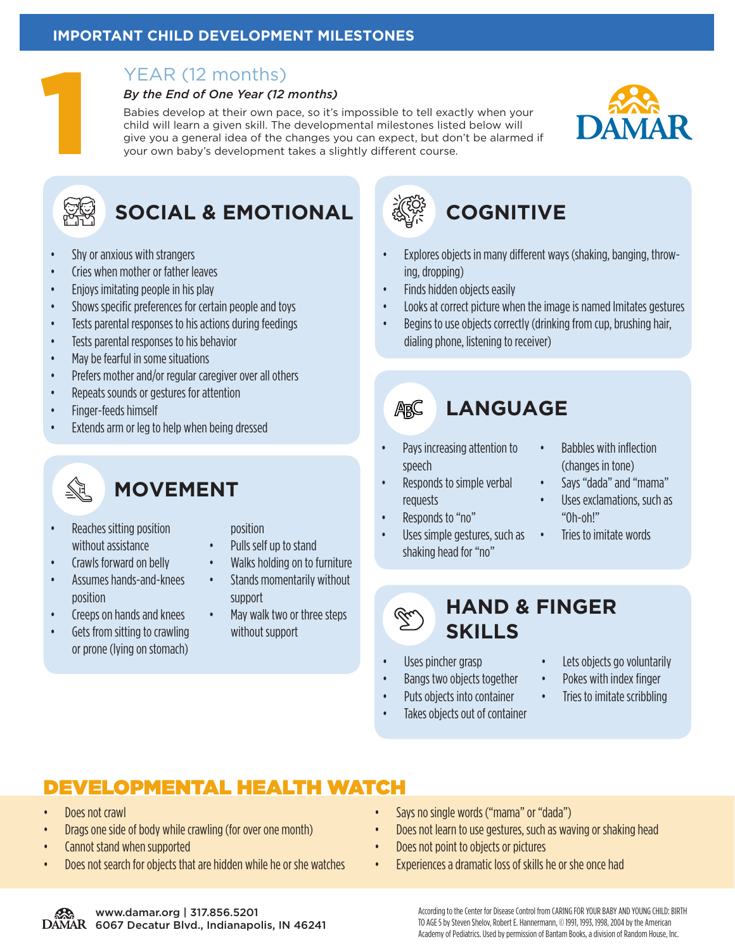

#### *By the End of One Year (12 months)*

YEAR (12 months)<br>By the End of One Year (12<br>Babies develop at their own pa<br>child will learn a given skill. The<br>give you a general idea of the e<br>your own baby's development Babies develop at their own pace, so it's impossible to tell exactly when your child will learn a given skill. The developmental milestones listed below will give you a general idea of the changes you can expect, but don't be alarmed if your own baby's development takes a slightly different course.





# **SOCIAL & EMOTIONAL FRAGGIOUS COGNITIVE**

- Shy or anxious with strangers
- Cries when mother or father leaves
- Enjoys imitating people in his play
- Shows specific preferences for certain people and toys
- Tests parental responses to his actions during feedings
- Tests parental responses to his behavior
- May be fearful in some situations
- Prefers mother and/or regular caregiver over all others
- Repeats sounds or gestures for attention
- Finger-feeds himself
- Extends arm or leg to help when being dressed



## **MOVEMENT**

- Reaches sitting position **business in the position** and the significant contract of the sitting position position without assistance
- Crawls forward on belly
- Assumes hands-and-knees position
- Creeps on hands and knees
- Gets from sitting to crawling or prone (lying on stomach)

position

- Pulls self up to stand
- Walks holding on to furniture
- Stands momentarily without support
- May walk two or three steps without support



- Explores objects in many different ways (shaking, banging, throwing, dropping)
- Finds hidden objects easily
- Looks at correct picture when the image is named Imitates gestures
- Begins to use objects correctly (drinking from cup, brushing hair, dialing phone, listening to receiver)

#### ARC **LANGUAGE**

- Pays increasing attention to speech
- Responds to simple verbal requests
- Responds to "no"
- shaking head for "no"
- Babbles with inflection (changes in tone)
- Says "dada" and "mama"
- Uses exclamations, such as "Oh-oh!"
- 



### **HAND & FINGER SKILLS**

- Uses pincher grasp
- Bangs two objects together
- Puts objects into container
- Takes objects out of container
- Lets objects go voluntarily
- Pokes with index finger
- Tries to imitate scribbling

### DEVELOPMENTAL HEALTH WATCH

- Does not crawl
- Drags one side of body while crawling (for over one month)
- Cannot stand when supported
- Does not search for objects that are hidden while he or she watches
- Says no single words ("mama" or "dada")
- Does not learn to use gestures, such as waving or shaking head
- Does not point to objects or pictures
- Experiences a dramatic loss of skills he or she once had

www.damar.org | 317.856.5201 DAMAR 6067 Decatur Blvd., Indianapolis, IN 46241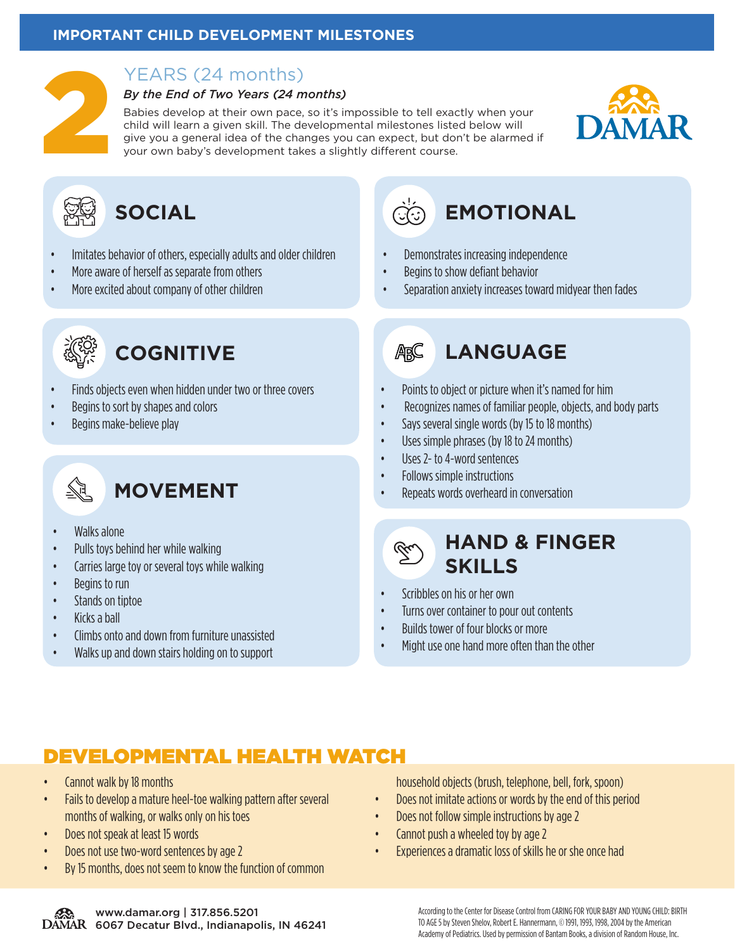

#### *By the End of Two Years (24 months)*

YEARS (24 months)<br>By the End of Two Years (24 n<br>Babies develop at their own pace,<br>child will learn a given skill. The de<br>give you a general idea of the cha<br>your own baby's development tak Babies develop at their own pace, so it's impossible to tell exactly when your child will learn a given skill. The developmental milestones listed below will give you a general idea of the changes you can expect, but don't be alarmed if your own baby's development takes a slightly different course.





## **SOCIAL**

- Imitates behavior of others, especially adults and older children
- More aware of herself as separate from others
- More excited about company of other children



- Demonstrates increasing independence
- Begins to show defiant behavior
- Separation anxiety increases toward midyear then fades



## **COGNITIVE**

- Finds objects even when hidden under two or three covers
- Begins to sort by shapes and colors
- Begins make-believe play

![](_page_3_Picture_20.jpeg)

## **MOVEMENT**

- Walks alone
- Pulls toys behind her while walking
- Carries large toy or several toys while walking
- Begins to run
- Stands on tiptoe
- Kicks a ball
- Climbs onto and down from furniture unassisted
- Walks up and down stairs holding on to support

#### ABC **LANGUAGE**

- Points to object or picture when it's named for him
- Recognizes names of familiar people, objects, and body parts
- Says several single words (by 15 to 18 months)
- Uses simple phrases (by 18 to 24 months)
- Uses 2- to 4-word sentences
- Follows simple instructions
- Repeats words overheard in conversation

![](_page_3_Picture_39.jpeg)

### **HAND & FINGER SKILLS**

- Scribbles on his or her own
- Turns over container to pour out contents
- Builds tower of four blocks or more
- Might use one hand more often than the other

## DEVELOPMENTAL HEALTH WATCH

- Cannot walk by 18 months
- Fails to develop a mature heel-toe walking pattern after several months of walking, or walks only on his toes
- Does not speak at least 15 words
- Does not use two-word sentences by age 2
- By 15 months, does not seem to know the function of common

household objects (brush, telephone, bell, fork, spoon)

- Does not imitate actions or words by the end of this period
- Does not follow simple instructions by age 2
- Cannot push a wheeled toy by age 2
- Experiences a dramatic loss of skills he or she once had

www.damar.org | 317.856.5201 DAMAR 6067 Decatur Blvd., Indianapolis, IN 46241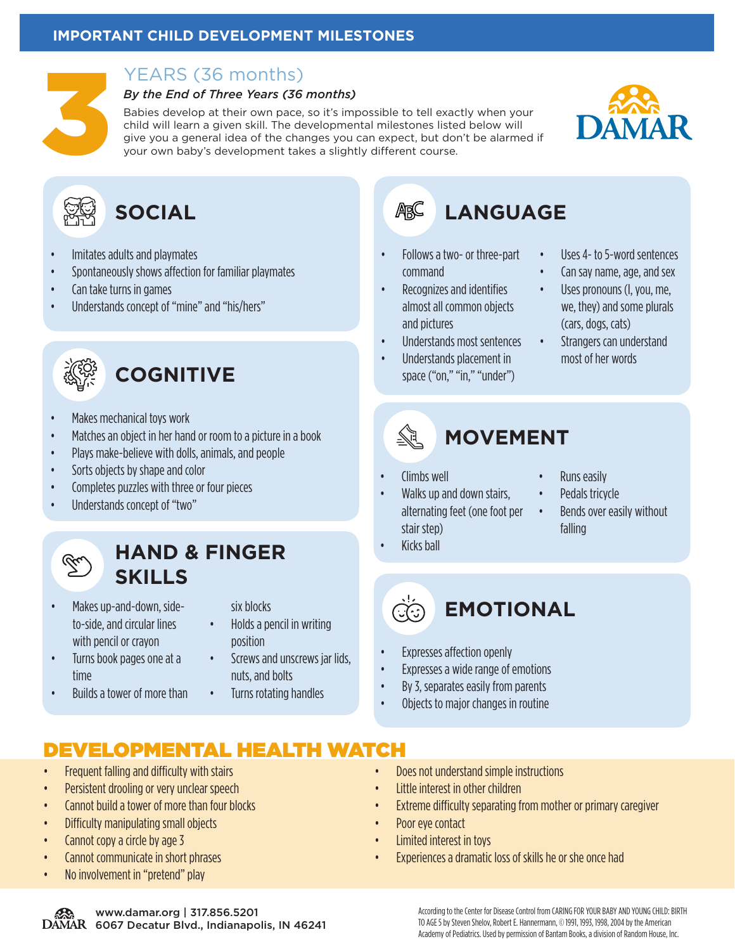![](_page_4_Picture_1.jpeg)

#### *By the End of Three Years (36 months)*

YEARS (36 months)<br>By the End of Three Years (36<br>Babies develop at their own pace,<br>child will learn a given skill. The de<br>give you a general idea of the cha<br>your own baby's development tak Babies develop at their own pace, so it's impossible to tell exactly when your child will learn a given skill. The developmental milestones listed below will give you a general idea of the changes you can expect, but don't be alarmed if your own baby's development takes a slightly different course.

![](_page_4_Picture_5.jpeg)

![](_page_4_Picture_6.jpeg)

## **SOCIAL**

- Imitates adults and playmates
- Spontaneously shows affection for familiar playmates
- Can take turns in games
- Understands concept of "mine" and "his/hers"

![](_page_4_Picture_12.jpeg)

# **COGNITIVE**

- Makes mechanical toys work
- Matches an object in her hand or room to a picture in a book
- Plays make-believe with dolls, animals, and people
- Sorts objects by shape and color
- Completes puzzles with three or four pieces
- Understands concept of "two"

![](_page_4_Picture_20.jpeg)

### **HAND & FINGER SKILLS**

- Makes up-and-down, sideto-side, and circular lines with pencil or crayon
- Turns book pages one at a time
- Builds a tower of more than
- six blocks
- Holds a pencil in writing position
- Screws and unscrews jar lids, nuts, and bolts
- Turns rotating handles

# **LANGUAGE**

- Follows a two- or three-part command
- Recognizes and identifies almost all common objects and pictures
- Understands most sentences
- Understands placement in space ("on," "in," "under")
- Uses 4- to 5-word sentences
- Can say name, age, and sex
- Uses pronouns (I, you, me, we, they) and some plurals (cars, dogs, cats)
- Strangers can understand most of her words

![](_page_4_Picture_38.jpeg)

**ABC** 

## **MOVEMENT**

- Climbs well
- Walks up and down stairs. alternating feet (one foot per stair step)
- Runs easily
- Pedals tricycle
- Bends over easily without falling

Kicks hall

![](_page_4_Picture_46.jpeg)

- Expresses affection openly
- Expresses a wide range of emotions
- By 3, separates easily from parents
- Objects to major changes in routine

### DEVELOPMENTAL HEALTH WATCH

- Frequent falling and difficulty with stairs
- Persistent drooling or very unclear speech
- Cannot build a tower of more than four blocks
- Difficulty manipulating small objects
- Cannot copy a circle by age 3
- Cannot communicate in short phrases
- No involvement in "pretend" play
- Does not understand simple instructions
- Little interest in other children
- Extreme difficulty separating from mother or primary caregiver
- Poor eye contact
- Limited interest in toys
- Experiences a dramatic loss of skills he or she once had

www.damar.org | 317.856.5201 DAMAR 6067 Decatur Blvd., Indianapolis, IN 46241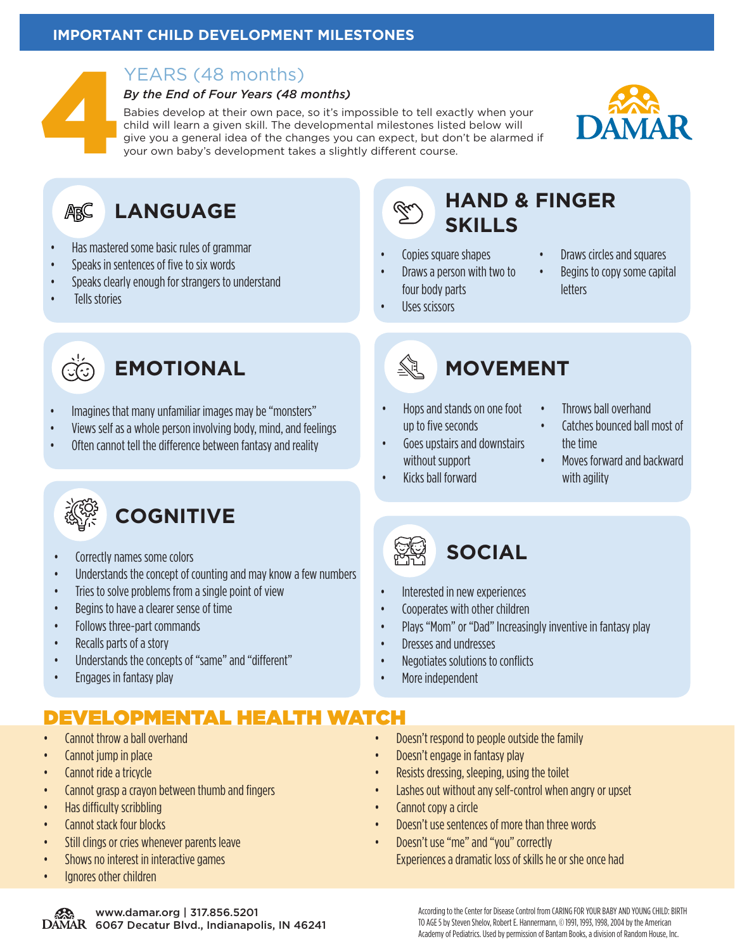![](_page_5_Picture_1.jpeg)

#### *By the End of Four Years (48 months)*

YEARS (48 months)<br>By the End of Four Years (48 r<br>Babies develop at their own pace,<br>child will learn a given skill. The de<br>give you a general idea of the cha<br>your own baby's development tak Babies develop at their own pace, so it's impossible to tell exactly when your child will learn a given skill. The developmental milestones listed below will give you a general idea of the changes you can expect, but don't be alarmed if your own baby's development takes a slightly different course.

![](_page_5_Picture_5.jpeg)

## ARC

- Has mastered some basic rules of grammar
- Speaks in sentences of five to six words
- Speaks clearly enough for strangers to understand
- Tells stories

### **LANGUAGE HAND & FINGER SKILLS**

- Copies square shapes
- Draws a person with two to four body parts
- Uses scissors
- Draws circles and squares
	- Begins to copy some capital **letters**

<u>ु?</u>

### **EMOTIONAL MOVEMENT**

- Imagines that many unfamiliar images may be "monsters"
- Views self as a whole person involving body, mind, and feelings
- Often cannot tell the difference between fantasy and reality

![](_page_5_Picture_22.jpeg)

# **COGNITIVE**

- Correctly names some colors
- Understands the concept of counting and may know a few numbers
- Tries to solve problems from a single point of view
- Begins to have a clearer sense of time
- Follows three-part commands
- Recalls parts of a story
- Understands the concepts of "same" and "different"
- Engages in fantasy play

## DEVELOPMENTAL HEALTH WATCH

- Cannot throw a ball overhand
- Cannot jump in place
- Cannot ride a tricycle
- Cannot grasp a crayon between thumb and fingers
- Has difficulty scribbling
- Cannot stack four blocks
- Still clings or cries whenever parents leave
- Shows no interest in interactive games
- Ignores other children
- Doesn't respond to people outside the family
- Doesn't engage in fantasy play
- Resists dressing, sleeping, using the toilet
- Lashes out without any self-control when angry or upset

• Plays "Mom" or "Dad" Increasingly inventive in fantasy play

- Cannot copy a circle
- Doesn't use sentences of more than three words
- Doesn't use "me" and "you" correctly Experiences a dramatic loss of skills he or she once had
- Hops and stands on one foot up to five seconds Throws hall overhand
	- Catches bounced ball most of the time
		- Moves forward and backward with agility

According to the Center for Disease Control from CARING FOR YOUR BABY AND YOUNG CHILD: BIRTH TO AGE 5 by Steven Shelov, Robert E. Hannermann, © 1991, 1993, 1998, 2004 by the American Academy of Pediatrics. Used by permission of Bantam Books, a division of Random House, Inc.

![](_page_5_Picture_53.jpeg)

- 
- 

![](_page_5_Picture_57.jpeg)

![](_page_5_Picture_58.jpeg)

• Goes upstairs and downstairs without support • Kicks ball forward

• Cooperates with other children

• Negotiates solutions to conflicts

• Dresses and undresses

More independent

![](_page_5_Picture_60.jpeg)

![](_page_5_Picture_61.jpeg)

![](_page_5_Picture_62.jpeg)

![](_page_5_Picture_63.jpeg)